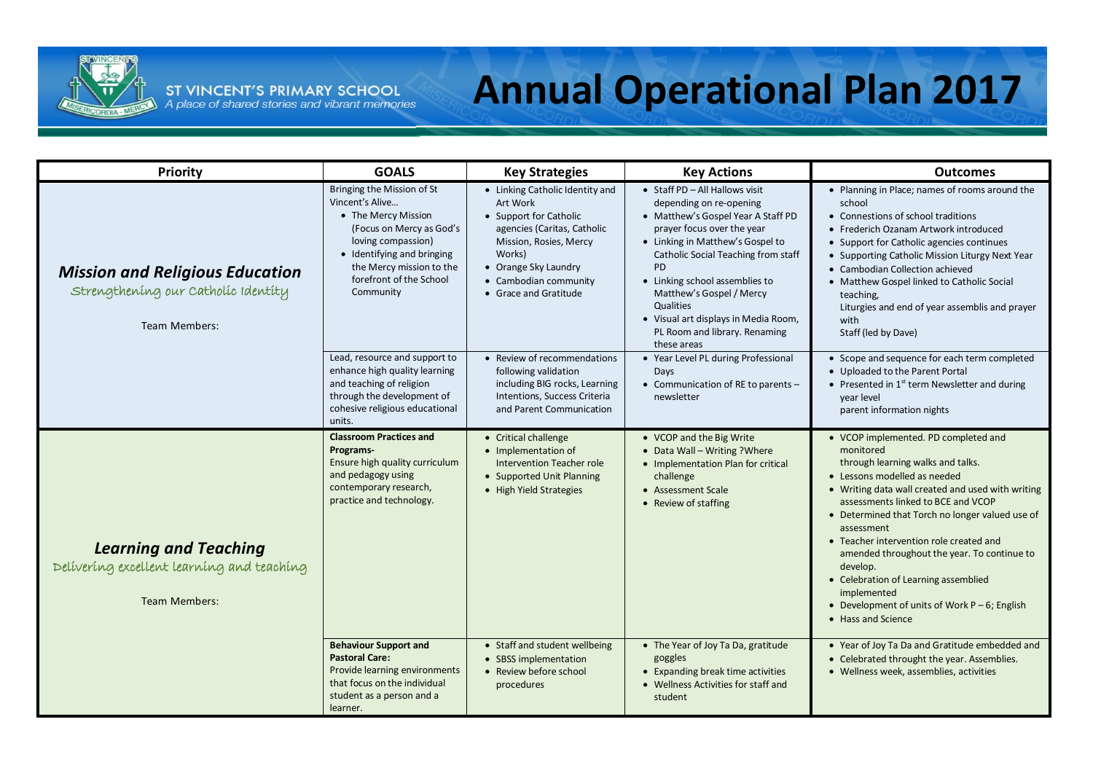

## **Annual Operational Plan 2017**

| <b>Priority</b>                                                                                    | <b>GOALS</b>                                                                                                                                                                                                             | <b>Key Strategies</b>                                                                                                                                                                                              | <b>Key Actions</b>                                                                                                                                                                                                                                                                                                                                                                       | <b>Outcomes</b>                                                                                                                                                                                                                                                                                                                                                                                                                                                                                                           |
|----------------------------------------------------------------------------------------------------|--------------------------------------------------------------------------------------------------------------------------------------------------------------------------------------------------------------------------|--------------------------------------------------------------------------------------------------------------------------------------------------------------------------------------------------------------------|------------------------------------------------------------------------------------------------------------------------------------------------------------------------------------------------------------------------------------------------------------------------------------------------------------------------------------------------------------------------------------------|---------------------------------------------------------------------------------------------------------------------------------------------------------------------------------------------------------------------------------------------------------------------------------------------------------------------------------------------------------------------------------------------------------------------------------------------------------------------------------------------------------------------------|
| <b>Mission and Religious Education</b><br>Strengthening our Catholic Identity<br>Team Members:     | Bringing the Mission of St<br>Vincent's Alive<br>• The Mercy Mission<br>(Focus on Mercy as God's<br>loving compassion)<br>• Identifying and bringing<br>the Mercy mission to the<br>forefront of the School<br>Community | • Linking Catholic Identity and<br>Art Work<br>• Support for Catholic<br>agencies (Caritas, Catholic<br>Mission, Rosies, Mercy<br>Works)<br>• Orange Sky Laundry<br>• Cambodian community<br>• Grace and Gratitude | • Staff PD - All Hallows visit<br>depending on re-opening<br>• Matthew's Gospel Year A Staff PD<br>prayer focus over the year<br>• Linking in Matthew's Gospel to<br>Catholic Social Teaching from staff<br><b>PD</b><br>• Linking school assemblies to<br>Matthew's Gospel / Mercy<br>Qualities<br>• Visual art displays in Media Room,<br>PL Room and library. Renaming<br>these areas | • Planning in Place; names of rooms around the<br>school<br>• Connestions of school traditions<br>• Frederich Ozanam Artwork introduced<br>• Support for Catholic agencies continues<br>• Supporting Catholic Mission Liturgy Next Year<br>• Cambodian Collection achieved<br>• Matthew Gospel linked to Catholic Social<br>teaching.<br>Liturgies and end of year assemblis and prayer<br>with<br>Staff (led by Dave)                                                                                                    |
|                                                                                                    | Lead, resource and support to<br>enhance high quality learning<br>and teaching of religion<br>through the development of<br>cohesive religious educational<br>units.                                                     | • Review of recommendations<br>following validation<br>including BIG rocks, Learning<br>Intentions, Success Criteria<br>and Parent Communication                                                                   | • Year Level PL during Professional<br>Days<br>• Communication of RE to parents -<br>newsletter                                                                                                                                                                                                                                                                                          | • Scope and sequence for each term completed<br>• Uploaded to the Parent Portal<br>• Presented in $1st$ term Newsletter and during<br>vear level<br>parent information nights                                                                                                                                                                                                                                                                                                                                             |
| <b>Learning and Teaching</b><br>Delivering excellent learning and teaching<br><b>Team Members:</b> | <b>Classroom Practices and</b><br>Programs-<br>Ensure high quality curriculum<br>and pedagogy using<br>contemporary research,<br>practice and technology.                                                                | • Critical challenge<br>• Implementation of<br>Intervention Teacher role<br>• Supported Unit Planning<br>• High Yield Strategies                                                                                   | • VCOP and the Big Write<br>• Data Wall - Writing ? Where<br>• Implementation Plan for critical<br>challenge<br>• Assessment Scale<br>• Review of staffing                                                                                                                                                                                                                               | • VCOP implemented. PD completed and<br>monitored<br>through learning walks and talks.<br>• Lessons modelled as needed<br>• Writing data wall created and used with writing<br>assessments linked to BCE and VCOP<br>• Determined that Torch no longer valued use of<br>assessment<br>• Teacher intervention role created and<br>amended throughout the year. To continue to<br>develop.<br>• Celebration of Learning assemblied<br>implemented<br>• Development of units of Work $P - 6$ ; English<br>• Hass and Science |
|                                                                                                    | <b>Behaviour Support and</b><br><b>Pastoral Care:</b><br>Provide learning environments<br>that focus on the individual<br>student as a person and a<br>learner.                                                          | • Staff and student wellbeing<br>• SBSS implementation<br>• Review before school<br>procedures                                                                                                                     | • The Year of Joy Ta Da, gratitude<br>goggles<br>• Expanding break time activities<br>• Wellness Activities for staff and<br>student                                                                                                                                                                                                                                                     | • Year of Joy Ta Da and Gratitude embedded and<br>• Celebrated throught the year. Assemblies.<br>• Wellness week, assemblies, activities                                                                                                                                                                                                                                                                                                                                                                                  |